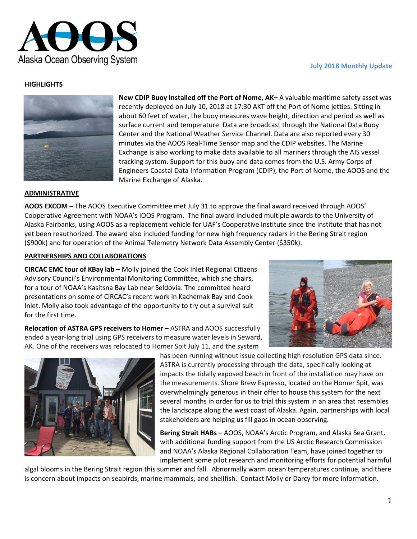

### **July 2018 Monthly Update**

## **HIGHLIGHTS**



**New CDIP Buoy Installed off the Port of Nome, AK–** A valuable maritime safety asset was recently deployed on July 10, 2018 at 17:30 AKT off the Port of Nome jetties. Sitting in about 60 feet of water, the buoy measures wave height, direction and period as well as surface current and temperature. Data are broadcast through the National Data Buoy Center and the National Weather Service Channel. Data are also reported every 30 minutes via the AOOS Real-Time Sensor map and the CDIP websites. The Marine Exchange is also working to make data available to all mariners through the AIS vessel tracking system. Support for this buoy and data comes from the U.S. Army Corps of Engineers Coastal Data Information Program (CDIP), the Port of Nome, the AOOS and the Marine Exchange of Alaska.

### **ADMINISTRATIVE**

**AOOS EXCOM –** The AOOS Executive Committee met July 31 to approve the final award received through AOOS' Cooperative Agreement with NOAA's IOOS Program. The final award included multiple awards to the University of Alaska Fairbanks, using AOOS as a replacement vehicle for UAF's Cooperative Institute since the institute that has not yet been reauthorized. The award also included funding for new high frequency radars in the Bering Strait region (\$900k) and for operation of the Animal Telemetry Network Data Assembly Center (\$350k).

#### **PARTNERSHIPS AND COLLABORATIONS**

**CIRCAC EMC tour of KBay lab –** Molly joined the Cook Inlet Regional Citizens Advisory Council's Environmental Monitoring Committee, which she chairs, for a tour of NOAA's Kasitsna Bay Lab near Seldovia. The committee heard presentations on some of CIRCAC's recent work in Kachemak Bay and Cook Inlet. Molly also took advantage of the opportunity to try out a survival suit for the first time.



**Relocation of ASTRA GPS receivers to Homer –** ASTRA and AOOS successfully ended a year-long trial using GPS receivers to measure water levels in Seward, AK. One of the receivers was relocated to Homer Spit July 11, and the system



has been running without issue collecting high resolution GPS data since. ASTRA is currently processing through the data, specifically looking at impacts the tidally exposed beach in front of the installation may have on the measurements. Shore Brew Espresso, located on the Homer Spit, was overwhelmingly generous in their offer to house this system for the next several months in order for us to trial this system in an area that resembles the landscape along the west coast of Alaska. Again, partnerships with local stakeholders are helping us fill gaps in ocean observing.

**Bering Strait HABs –** AOOS, NOAA's Arctic Program, and Alaska Sea Grant, with additional funding support from the US Arctic Research Commission and NOAA's Alaska Regional Collaboration Team, have joined together to implement some pilot research and monitoring efforts for potential harmful

algal blooms in the Bering Strait region this summer and fall. Abnormally warm ocean temperatures continue, and there is concern about impacts on seabirds, marine mammals, and shellfish. Contact Molly or Darcy for more information.